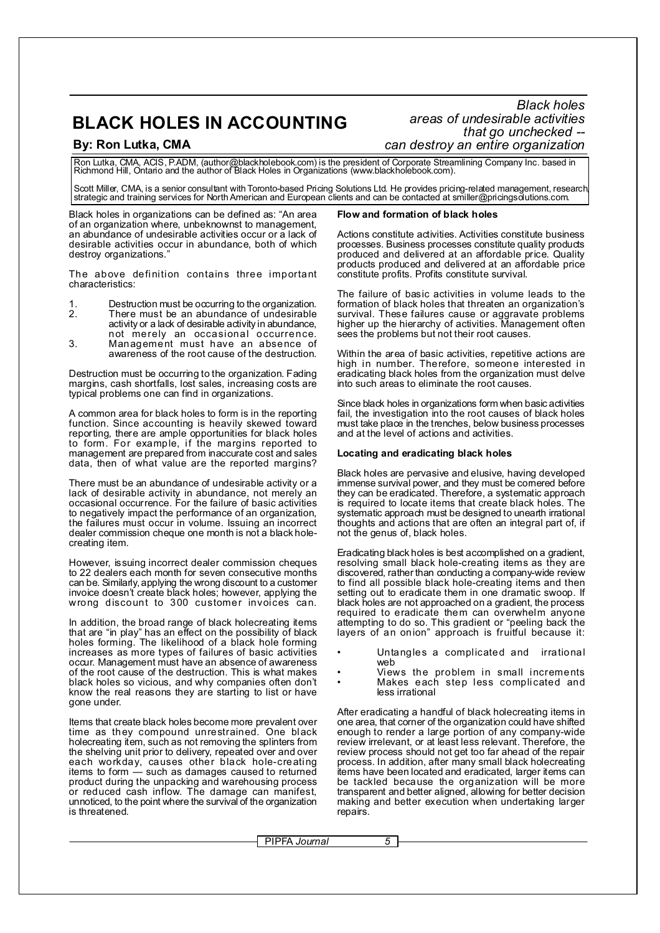# **BLACK HOLES IN ACCOUNTING**

*Black holes areas of undesirable activities that go unchecked --* **By: Ron Lutka, CMA** *can destroy an entire organization*

Ron Lutka, CMA, ACIS, P.ADM, (author@blackholebook.com) is the president of Corporate Streamlining Company Inc. based in<br>Richmond Hill, Ontario and the author of Black Holes in Organizations (www.blackholebook.com).

Scott Miller, CMA, is a senior consultant with Toronto-based Pricing Solutions Ltd. He provides pricing-related management, research<br>strategic and training services for North American and European clients and can be contac

Black holes in organizations can be defined as: "An area of an organization where, unbeknownst to management, an abundance of undesirable activities occur or a lack of desirable activities occur in abundance, both of which destroy organizations.

The above definition contains three important characteristics:

1. Destruction must be occurring to the organization.<br>2. There must be an abundance of undesirable

- There must be an abundance of undesirable activity or a lack of desirable activity in abundance, not merely an occasional occurrence.
- 3. Management must have an absence of awareness of the root cause of the destruction.

Destruction must be occurring to the organization. Fading margins, cash shortfalls, lost sales, increasing costs are typical problems one can find in organizations.

A common area for black holes to form is in the reporting function. Since accounting is heavily skewed toward reporting, there are ample opportunities for black holes to form. For example, if the margins reported to management are prepared from inaccurate cost and sales data, then of what value are the reported margins?

There must be an abundance of undesirable activity or a lack of desirable activity in abundance, not merely an occasional occur rence. For the failure of basic activities to negatively impact the performance of an organization, the failures must occur in volume. Issuing an incorrect dealer commission cheque one month is not a black holecreating item.

However, issuing incorrect dealer commission cheques to 22 dealers each month for seven consecutive months can be. Similarly, applying the wrong discount to a customer invoice doesn't create black holes; however, applying the wrong discount to 300 customer invoices can.

In addition, the broad range of black holecreating items that are "in play" has an effect on the possibility of black holes forming. The likelihood of a black hole forming increases as more types of failures of basic activities occur. Management must have an absence of awareness of the root cause of the destruction. This is what makes black holes so vicious, and why companies often don't know the real reasons they are starting to list or have gone under.

Items that create black holes become more prevalent over time as they compound unrestrained. One black holecreating item, such as not removing the splinters from the shelving unit prior to delivery, repeated over and over each workday, causes other black hole-creating items to form — such as damages caused to returned product during the unpacking and warehousing process or reduced cash inflow. The damage can manifest, unnoticed, to the point where the survival of the organization is threatened.

# **Flow and formation of black holes**

Actions constitute activities. Activities constitute business processes. Business processes constitute quality products produced and delivered at an affordable price. Quality products produced and delivered at an affordable price constitute profits. Profits constitute survival.

The failure of basic activities in volume leads to the formation of black holes that threaten an organization's survival. These failures cause or aggravate problems higher up the hierarchy of activities. Management often sees the problems but not their root causes.

Within the area of basic activities, repetitive actions are high in number. The refore, someone interested in eradicating black holes from the organization must delve into such areas to eliminate the root causes.

Since black holes in organizations form when basic activities fail, the investigation into the root causes of black holes must take place in the trenches, below business processes and at the level of actions and activities.

# **Locating and eradicating black holes**

Black holes are pervasive and elusive, having developed immense survival power, and they must be comered before they can be eradicated. Therefore, a systematic approach is required to locate items that create black holes. The systematic approach must be designed to unearth irrational thoughts and actions that are often an integral part of, if not the genus of, black holes.

Eradicating black holes is best accomplished on a gradient, resolving small black hole-c reating items as they are discovered, rather than conducting a company-wide review to find all possible black hole-creating items and then setting out to eradicate them in one dramatic swoop. If black holes are not approached on a gradient, the process required to eradicate them can overwhelm anyone attempting to do so. This gradient or "peeling back the layers of an onion" approach is fruitful because it:

- Untangles a complicated and irrational web
- Views the problem in small increments • Makes each step less complicated and less irrational

After eradicating a handful of black holecreating items in one area, that corner of the organization could have shifted enough to render a large portion of any company-wide review irrelevant, or at least less relevant. Therefore, the review process should not get too far ahead of the repair process. In addition, after many small black holecreating items have been located and eradicated, larger items can be tackled because the organization will be more transparent and better aligned, allowing for better decision making and better execution when undertaking larger repairs.

PIPFA *Journal 5*